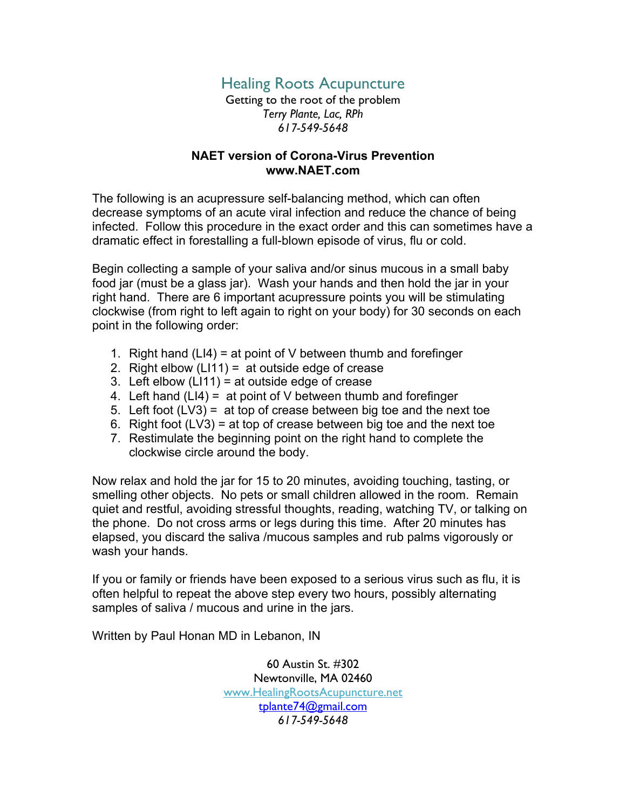## Healing Roots Acupuncture

Getting to the root of the problem *Terry Plante, Lac, RPh 617-549-5648*

## **NAET version of Corona-Virus Prevention www.NAET.com**

The following is an acupressure self-balancing method, which can often decrease symptoms of an acute viral infection and reduce the chance of being infected. Follow this procedure in the exact order and this can sometimes have a dramatic effect in forestalling a full-blown episode of virus, flu or cold.

Begin collecting a sample of your saliva and/or sinus mucous in a small baby food jar (must be a glass jar). Wash your hands and then hold the jar in your right hand. There are 6 important acupressure points you will be stimulating clockwise (from right to left again to right on your body) for 30 seconds on each point in the following order:

- 1. Right hand (LI4) = at point of V between thumb and forefinger
- 2. Right elbow  $(L111) = at outside edge of crease$
- 3. Left elbow (LI11) = at outside edge of crease
- 4. Left hand  $(L|4) = at point of V between thumb and foreignger$
- 5. Left foot  $(LV3) = at top of crease between big to each end of the next too$
- 6. Right foot  $(LV3)$  = at top of crease between big toe and the next toe
- 7. Restimulate the beginning point on the right hand to complete the clockwise circle around the body.

Now relax and hold the jar for 15 to 20 minutes, avoiding touching, tasting, or smelling other objects. No pets or small children allowed in the room. Remain quiet and restful, avoiding stressful thoughts, reading, watching TV, or talking on the phone. Do not cross arms or legs during this time. After 20 minutes has elapsed, you discard the saliva /mucous samples and rub palms vigorously or wash your hands.

If you or family or friends have been exposed to a serious virus such as flu, it is often helpful to repeat the above step every two hours, possibly alternating samples of saliva / mucous and urine in the jars.

Written by Paul Honan MD in Lebanon, IN

60 Austin St. #302 Newtonville, MA 02460 www.HealingRootsAcupuncture.net tplante74@gmail.com *617-549-5648*